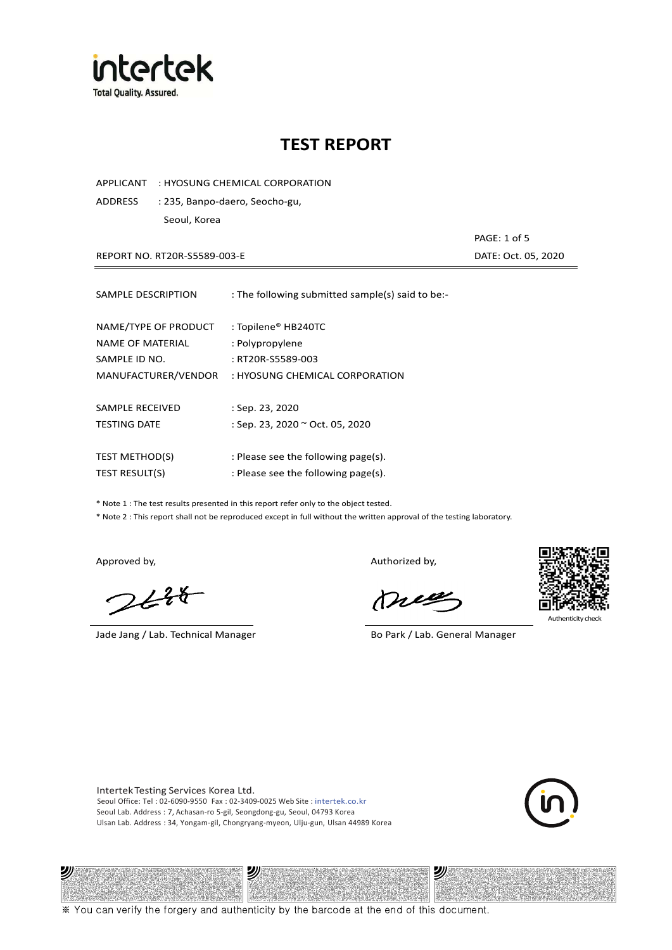

APPLICANT : HYOSUNG CHEMICAL CORPORATION

ADDRESS : 235, Banpo-daero, Seocho-gu, Seoul, Korea

REPORT NO. RT20R-S5589-003-E DATE: Oct. 05, 2020

PAGE: 1 of 5

| SAMPLE DESCRIPTION                                                               | : The following submitted sample(s) said to be:-                                              |
|----------------------------------------------------------------------------------|-----------------------------------------------------------------------------------------------|
| NAME/TYPE OF PRODUCT<br>NAME OF MATERIAL<br>SAMPLE ID NO.<br>MANUFACTURER/VENDOR | : Topilene® HB240TC<br>: Polypropylene<br>: RT20R-S5589-003<br>: HYOSUNG CHEMICAL CORPORATION |
|                                                                                  |                                                                                               |
| SAMPLE RECEIVED                                                                  | : Sep. 23, 2020                                                                               |
| <b>TESTING DATE</b>                                                              | : Sep. 23, 2020 ~ Oct. 05, 2020                                                               |
|                                                                                  |                                                                                               |
| <b>TEST METHOD(S)</b>                                                            | : Please see the following page(s).                                                           |
| <b>TEST RESULT(S)</b>                                                            | : Please see the following page(s).                                                           |

\* Note 1 : The test results presented in this report refer only to the object tested.

\* Note 2 : This report shall not be reproduced except in full without the written approval of the testing laboratory.

ツ

 $2648$ 

Jade Jang / Lab. Technical Manager Bo Park / Lab. General Manager

Approved by, and the state of the control of the Authorized by,

Meg

沙



Intertek Testing Services Korea Ltd. Seoul Office: Tel : 02-6090-9550 Fax : 02-3409-0025 Web Site : intertek.co.kr Seoul Lab. Address : 7, Achasan-ro 5-gil, Seongdong-gu, Seoul, 04793 Korea Ulsan Lab. Address : 34, Yongam-gil, Chongryang-myeon, Ulju-gun, Ulsan 44989 Korea

沙

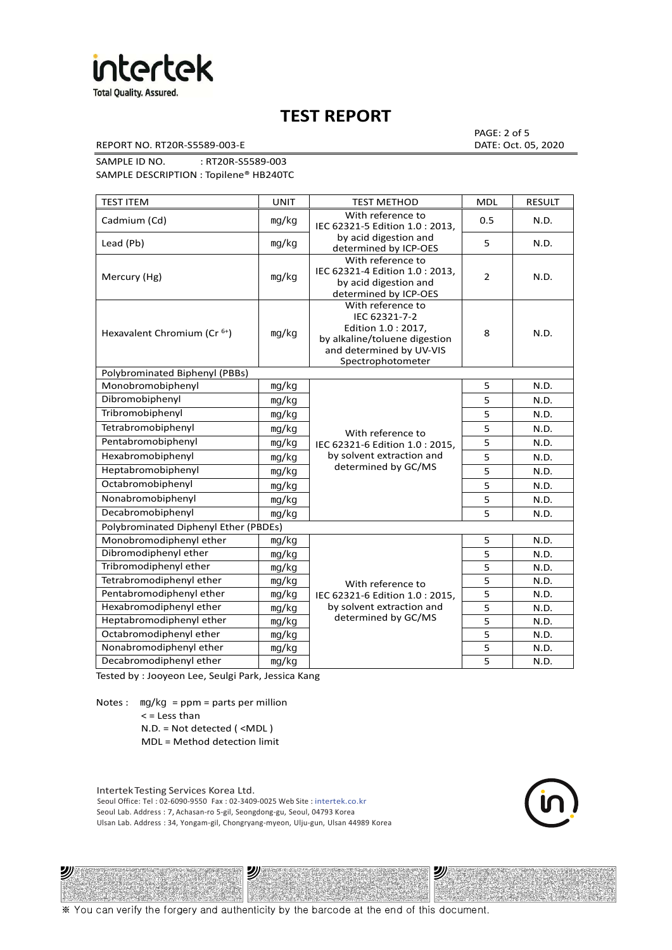

REPORT NO. RT20R-S5589-003-E DATE: Oct. 05, 2020

PAGE: 2 of 5

SAMPLE ID NO. : RT20R-S5589-003 SAMPLE DESCRIPTION : Topilene® HB240TC

| <b>TEST ITEM</b>                        | <b>UNIT</b> | TEST METHOD                                                                                                                                 | MDL            | <b>RESULT</b> |
|-----------------------------------------|-------------|---------------------------------------------------------------------------------------------------------------------------------------------|----------------|---------------|
| Cadmium (Cd)                            | mg/kg       | With reference to<br>IEC 62321-5 Edition 1.0 : 2013,                                                                                        | 0.5            | N.D.          |
| Lead (Pb)                               | mg/kg       | by acid digestion and<br>determined by ICP-OES                                                                                              | 5              | N.D.          |
| Mercury (Hg)                            | mg/kg       | With reference to<br>IEC 62321-4 Edition 1.0 : 2013,<br>by acid digestion and<br>determined by ICP-OES                                      | $\overline{2}$ | N.D.          |
| Hexavalent Chromium (Cr <sup>6+</sup> ) | mg/kg       | With reference to<br>IEC 62321-7-2<br>Edition 1.0 : 2017,<br>by alkaline/toluene digestion<br>and determined by UV-VIS<br>Spectrophotometer | 8              | N.D.          |
| Polybrominated Biphenyl (PBBs)          |             |                                                                                                                                             |                |               |
| Monobromobiphenyl                       | mg/kg       |                                                                                                                                             | 5              | N.D.          |
| Dibromobiphenyl                         | mg/kg       |                                                                                                                                             | 5              | N.D.          |
| Tribromobiphenyl                        | mg/kg       |                                                                                                                                             | 5              | N.D.          |
| Tetrabromobiphenyl                      | mg/kg       | With reference to                                                                                                                           | 5              | N.D.          |
| Pentabromobiphenyl                      | mg/kg       | IEC 62321-6 Edition 1.0 : 2015,                                                                                                             | 5              | N.D.          |
| Hexabromobiphenyl                       | mg/kg       | by solvent extraction and                                                                                                                   | 5              | N.D.          |
| Heptabromobiphenyl                      | mg/kg       | determined by GC/MS                                                                                                                         | 5              | N.D.          |
| Octabromobiphenyl                       | mg/kg       |                                                                                                                                             | 5              | N.D.          |
| Nonabromobiphenyl                       | mg/kg       |                                                                                                                                             | 5              | N.D.          |
| Decabromobiphenyl                       | mg/kg       |                                                                                                                                             | 5              | N.D.          |
| Polybrominated Diphenyl Ether (PBDEs)   |             |                                                                                                                                             |                |               |
| Monobromodiphenyl ether                 | mg/kg       |                                                                                                                                             | 5              | N.D.          |
| Dibromodiphenyl ether                   | mg/kg       |                                                                                                                                             | 5              | N.D.          |
| Tribromodiphenyl ether                  | mg/kg       |                                                                                                                                             | 5              | N.D.          |
| Tetrabromodiphenyl ether                | mg/kg       | With reference to                                                                                                                           | 5              | N.D.          |
| Pentabromodiphenyl ether                | mg/kg       | IEC 62321-6 Edition 1.0 : 2015,                                                                                                             | 5              | N.D.          |
| Hexabromodiphenyl ether                 | mg/kg       | by solvent extraction and                                                                                                                   | 5              | N.D.          |
| Heptabromodiphenyl ether                | mg/kg       | determined by GC/MS                                                                                                                         | 5              | N.D.          |
| Octabromodiphenyl ether                 | mg/kg       |                                                                                                                                             | 5              | N.D.          |
| Nonabromodiphenyl ether                 | mg/kg       |                                                                                                                                             | 5              | N.D.          |
| Decabromodiphenyl ether                 | mg/kg       |                                                                                                                                             | 5              | N.D.          |

Tested by : Jooyeon Lee, Seulgi Park, Jessica Kang

Notes : mg/kg = ppm = parts per million  $<$  = Less than

沙

N.D. = Not detected ( <MDL )

MDL = Method detection limit

Intertek Testing Services Korea Ltd. Seoul Office: Tel : 02-6090-9550 Fax : 02-3409-0025 Web Site : intertek.co.kr Seoul Lab. Address : 7, Achasan-ro 5-gil, Seongdong-gu, Seoul, 04793 Korea Ulsan Lab. Address : 34, Yongam-gil, Chongryang-myeon, Ulju-gun, Ulsan 44989 Korea

沙



沙

※ You can verify the forgery and authenticity by the barcode at the end of this document.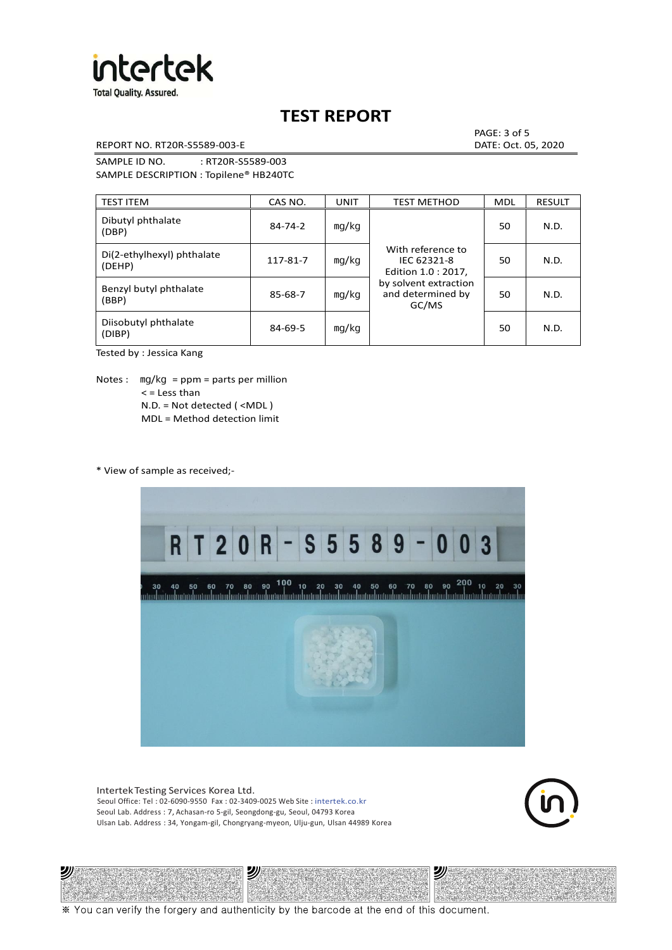

REPORT NO. RT20R-S5589-003-E DATE: Oct. 05, 2020

PAGE: 3 of 5

SAMPLE ID NO. : RT20R-S5589-003 SAMPLE DESCRIPTION : Topilene® HB240TC

| <b>TEST ITEM</b>                     | CAS NO.       | <b>UNIT</b> | <b>TEST METHOD</b>                                      | <b>MDL</b> | <b>RESULT</b> |
|--------------------------------------|---------------|-------------|---------------------------------------------------------|------------|---------------|
| Dibutyl phthalate<br>(DBP)           | $84 - 74 - 2$ | mq/kg       | With reference to<br>IEC 62321-8<br>Edition 1.0 : 2017, | 50         | N.D.          |
| Di(2-ethylhexyl) phthalate<br>(DEHP) | 117-81-7      | mg/kg       |                                                         | 50         | N.D.          |
| Benzyl butyl phthalate<br>(BBP)      | 85-68-7       | mg/kg       | by solvent extraction<br>and determined by<br>GC/MS     | 50         | N.D.          |
| Diisobutyl phthalate<br>(DIBP)       | $84 - 69 - 5$ | mg/kg       |                                                         | 50         | N.D.          |

Tested by : Jessica Kang

Notes :  $mq/kg = ppm = parts per million$  $<$  = Less than N.D. = Not detected ( <MDL ) MDL = Method detection limit

\* View of sample as received;-

ツル



Intertek Testing Services Korea Ltd. Seoul Office: Tel : 02-6090-9550 Fax : 02-3409-0025 Web Site : intertek.co.kr Seoul Lab. Address : 7, Achasan-ro 5-gil, Seongdong-gu, Seoul, 04793 Korea Ulsan Lab. Address : 34, Yongam-gil, Chongryang-myeon, Ulju-gun, Ulsan 44989 Korea

沙



沙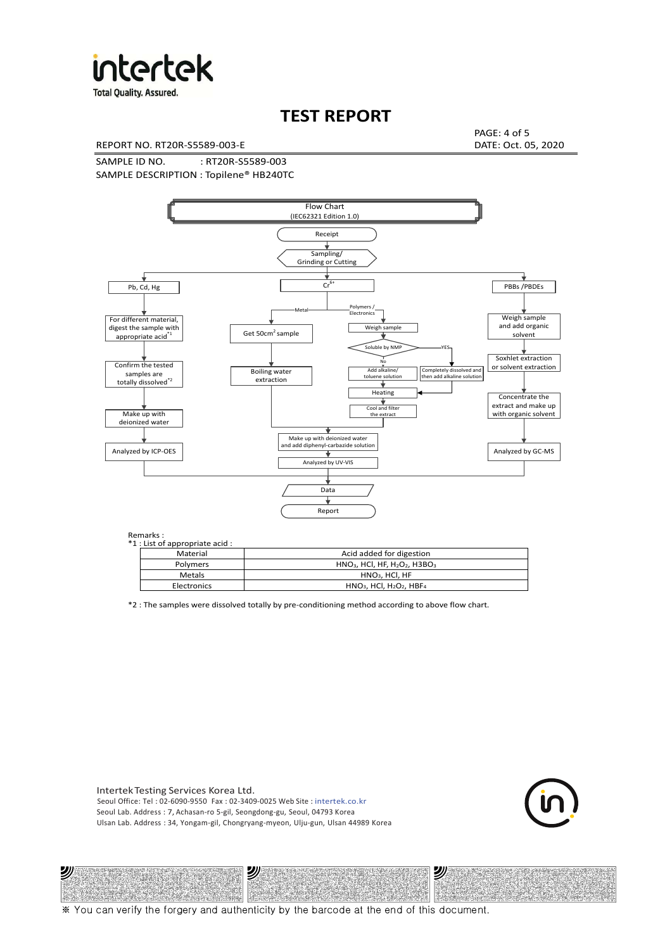

**Total Quality. Assured.** 

## **TEST REPORT**

REPORT NO. RT20R-S5589-003-E DATE: Oct. 05, 2020

PAGE: 4 of 5

SAMPLE ID NO. : RT20R-S5589-003 SAMPLE DESCRIPTION : Topilene® HB240TC



| *1 : List of appropriate acid : |                                                                     |
|---------------------------------|---------------------------------------------------------------------|
| Material                        | Acid added for digestion                                            |
| <b>Polymers</b>                 | $HNO3$ , HCl, HF, H <sub>2</sub> O <sub>2</sub> , H3BO <sub>3</sub> |
| Metals                          | $HNO3$ . HCl. HF                                                    |
| Electronics                     | $HNO3$ , HCl, H <sub>2</sub> O <sub>2</sub> , HBF <sub>4</sub>      |

\*2 : The samples were dissolved totally by pre-conditioning method according to above flow chart.

Intertek Testing Services Korea Ltd. Seoul Office: Tel : 02-6090-9550 Fax : 02-3409-0025 Web Site : intertek.co.kr Seoul Lab. Address : 7, Achasan-ro 5-gil, Seongdong-gu, Seoul, 04793 Korea Ulsan Lab. Address : 34, Yongam-gil, Chongryang-myeon, Ulju-gun, Ulsan 44989 Korea

沙

沙



沙